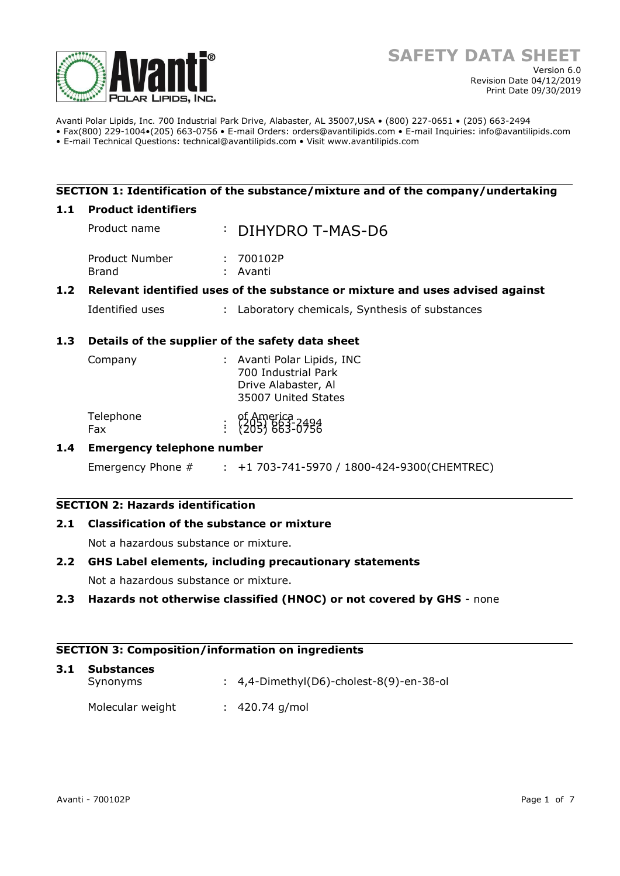

Avanti Polar Lipids, Inc. 700 Industrial Park Drive, Alabaster, AL 35007,USA • (800) 227-0651 • (205) 663-2494 • Fax(800) 229-1004•(205) 663-0756 • E-mail Orders: orders@avantilipids.com • E-mail Inquiries: info@avantilipids.com

• E-mail Technical Questions: technical@avantilipids.com • Visit www.avantilipids.com

## **SECTION 1: Identification of the substance/mixture and of the company/undertaking**

#### **1.1 Product identifiers**

|                  | Product name                                                                  |  | : DIHYDRO T-MAS-D6                              |  |  |  |
|------------------|-------------------------------------------------------------------------------|--|-------------------------------------------------|--|--|--|
|                  | Product Number<br>Brand                                                       |  | : 700102P<br>: Avanti                           |  |  |  |
| 1.2 <sub>1</sub> | Relevant identified uses of the substance or mixture and uses advised against |  |                                                 |  |  |  |
|                  | Identified uses                                                               |  | : Laboratory chemicals, Synthesis of substances |  |  |  |

## **1.3 Details of the supplier of the safety data sheet**

| Company          | : Avanti Polar Lipids, INC<br>700 Industrial Park<br>Drive Alabaster, Al<br>35007 United States |
|------------------|-------------------------------------------------------------------------------------------------|
| Telephone<br>Fax | of America<br>: {205} 863-0756                                                                  |

## **1.4 Emergency telephone number**

Emergency Phone # : +1 703-741-5970 / 1800-424-9300(CHEMTREC)

# **SECTION 2: Hazards identification**

## **2.1 Classification of the substance or mixture**

Not a hazardous substance or mixture.

## **2.2 GHS Label elements, including precautionary statements**

Not a hazardous substance or mixture.

## **2.3 Hazards not otherwise classified (HNOC) or not covered by GHS** - none

#### **SECTION 3: Composition/information on ingredients**

| 3.1 | <b>Substances</b><br>Synonyms | $\therefore$ 4,4-Dimethyl(D6)-cholest-8(9)-en-3ß-ol |
|-----|-------------------------------|-----------------------------------------------------|
|     | Molecular weight              | $: 420.74$ g/mol                                    |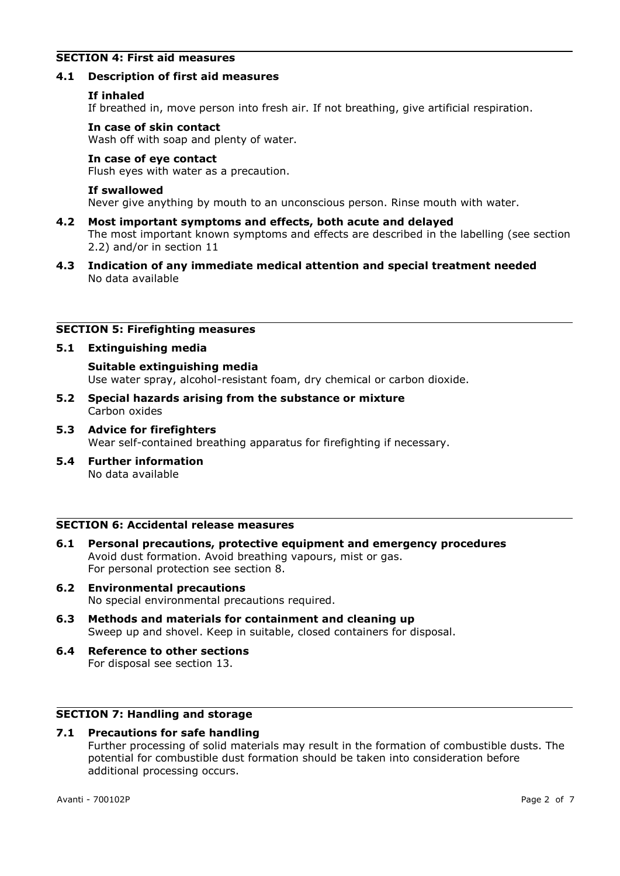## **SECTION 4: First aid measures**

#### **4.1 Description of first aid measures**

#### **If inhaled**

If breathed in, move person into fresh air. If not breathing, give artificial respiration.

#### **In case of skin contact**

Wash off with soap and plenty of water.

#### **In case of eye contact**

Flush eyes with water as a precaution.

#### **If swallowed**

Never give anything by mouth to an unconscious person. Rinse mouth with water.

- **4.2 Most important symptoms and effects, both acute and delayed** The most important known symptoms and effects are described in the labelling (see section 2.2) and/or in section 11
- **4.3 Indication of any immediate medical attention and special treatment needed** No data available

#### **SECTION 5: Firefighting measures**

#### **5.1 Extinguishing media**

**Suitable extinguishing media** Use water spray, alcohol-resistant foam, dry chemical or carbon dioxide.

- **5.2 Special hazards arising from the substance or mixture** Carbon oxides
- **5.3 Advice for firefighters** Wear self-contained breathing apparatus for firefighting if necessary.
- **5.4 Further information** No data available

#### **SECTION 6: Accidental release measures**

- **6.1 Personal precautions, protective equipment and emergency procedures** Avoid dust formation. Avoid breathing vapours, mist or gas. For personal protection see section 8.
- **6.2 Environmental precautions** No special environmental precautions required.
- **6.3 Methods and materials for containment and cleaning up** Sweep up and shovel. Keep in suitable, closed containers for disposal.
- **6.4 Reference to other sections** For disposal see section 13.

## **SECTION 7: Handling and storage**

## **7.1 Precautions for safe handling**

Further processing of solid materials may result in the formation of combustible dusts. The potential for combustible dust formation should be taken into consideration before additional processing occurs.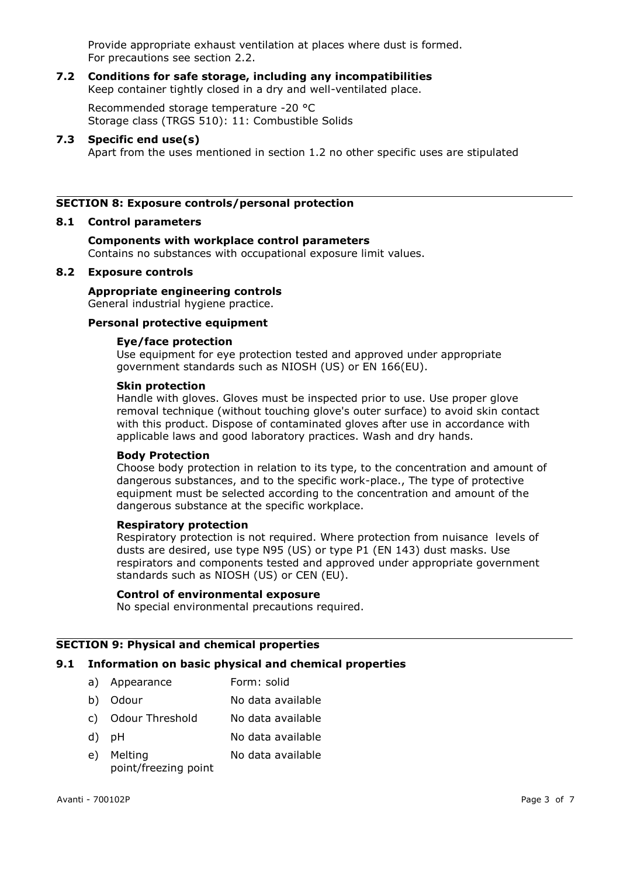Provide appropriate exhaust ventilation at places where dust is formed. For precautions see section 2.2.

#### **7.2 Conditions for safe storage, including any incompatibilities** Keep container tightly closed in a dry and well-ventilated place.

Recommended storage temperature -20 °C Storage class (TRGS 510): 11: Combustible Solids

#### **7.3 Specific end use(s)**

Apart from the uses mentioned in section 1.2 no other specific uses are stipulated

## **SECTION 8: Exposure controls/personal protection**

#### **8.1 Control parameters**

# **Components with workplace control parameters**

Contains no substances with occupational exposure limit values.

#### **8.2 Exposure controls**

## **Appropriate engineering controls**

General industrial hygiene practice.

## **Personal protective equipment**

#### **Eye/face protection**

Use equipment for eye protection tested and approved under appropriate government standards such as NIOSH (US) or EN 166(EU).

#### **Skin protection**

Handle with gloves. Gloves must be inspected prior to use. Use proper glove removal technique (without touching glove's outer surface) to avoid skin contact with this product. Dispose of contaminated gloves after use in accordance with applicable laws and good laboratory practices. Wash and dry hands.

#### **Body Protection**

Choose body protection in relation to its type, to the concentration and amount of dangerous substances, and to the specific work-place., The type of protective equipment must be selected according to the concentration and amount of the dangerous substance at the specific workplace.

#### **Respiratory protection**

Respiratory protection is not required. Where protection from nuisance levels of dusts are desired, use type N95 (US) or type P1 (EN 143) dust masks. Use respirators and components tested and approved under appropriate government standards such as NIOSH (US) or CEN (EU).

#### **Control of environmental exposure**

No special environmental precautions required.

### **SECTION 9: Physical and chemical properties**

## **9.1 Information on basic physical and chemical properties**

- a) Appearance Form: solid
- b) Odour No data available
- c) Odour Threshold No data available
- d) pH No data available
- e) Melting point/freezing point No data available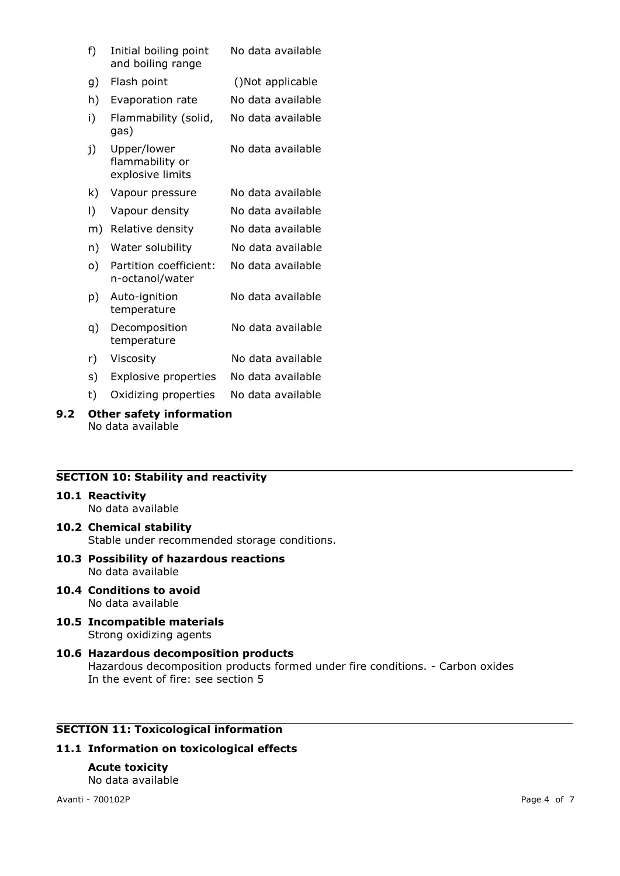| f) | Initial boiling point<br>and boiling range         | No data available |
|----|----------------------------------------------------|-------------------|
| g) | Flash point                                        | ()Not applicable  |
| h) | Evaporation rate                                   | No data available |
| i) | Flammability (solid,<br>gas)                       | No data available |
| j) | Upper/lower<br>flammability or<br>explosive limits | No data available |
| k) | Vapour pressure                                    | No data available |
| I) | Vapour density                                     | No data available |
| m) | Relative density                                   | No data available |
| n) | Water solubility                                   | No data available |
| o) | Partition coefficient:<br>n-octanol/water          | No data available |
| p) | Auto-ignition<br>temperature                       | No data available |
| q) | Decomposition<br>temperature                       | No data available |
| r) | Viscosity                                          | No data available |
| s) | <b>Explosive properties</b>                        | No data available |

t) Oxidizing properties No data available

#### **9.2 Other safety information** No data available

# **SECTION 10: Stability and reactivity**

#### **10.1 Reactivity**

No data available

- **10.2 Chemical stability** Stable under recommended storage conditions.
- **10.3 Possibility of hazardous reactions** No data available
- **10.4 Conditions to avoid** No data available
- **10.5 Incompatible materials** Strong oxidizing agents

## **10.6 Hazardous decomposition products** Hazardous decomposition products formed under fire conditions. - Carbon oxides In the event of fire: see section 5

# **SECTION 11: Toxicological information**

## **11.1 Information on toxicological effects**

#### **Acute toxicity** No data available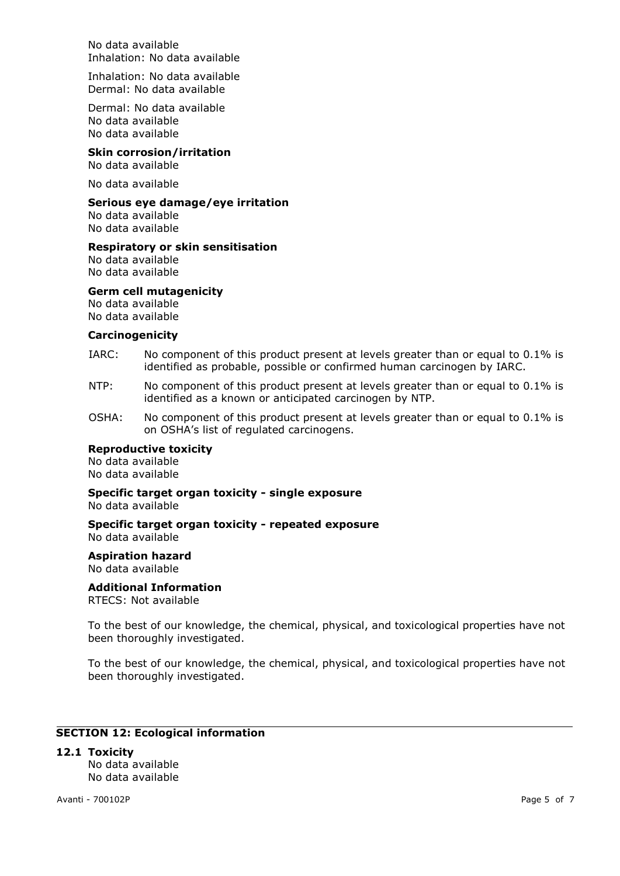No data available Inhalation: No data available

Inhalation: No data available Dermal: No data available

Dermal: No data available No data available No data available

## **Skin corrosion/irritation**

No data available

No data available

#### **Serious eye damage/eye irritation**

No data available No data available

#### **Respiratory or skin sensitisation**

No data available No data available

#### **Germ cell mutagenicity**

No data available No data available

#### **Carcinogenicity**

- IARC: No component of this product present at levels greater than or equal to 0.1% is identified as probable, possible or confirmed human carcinogen by IARC.
- NTP: No component of this product present at levels greater than or equal to 0.1% is identified as a known or anticipated carcinogen by NTP.
- OSHA: No component of this product present at levels greater than or equal to 0.1% is on OSHA's list of regulated carcinogens.

## **Reproductive toxicity**

No data available No data available

#### **Specific target organ toxicity - single exposure** No data available

#### **Specific target organ toxicity - repeated exposure** No data available

**Aspiration hazard**

No data available

## **Additional Information**

RTECS: Not available

To the best of our knowledge, the chemical, physical, and toxicological properties have not been thoroughly investigated.

To the best of our knowledge, the chemical, physical, and toxicological properties have not been thoroughly investigated.

## **SECTION 12: Ecological information**

#### **12.1 Toxicity**

No data available No data available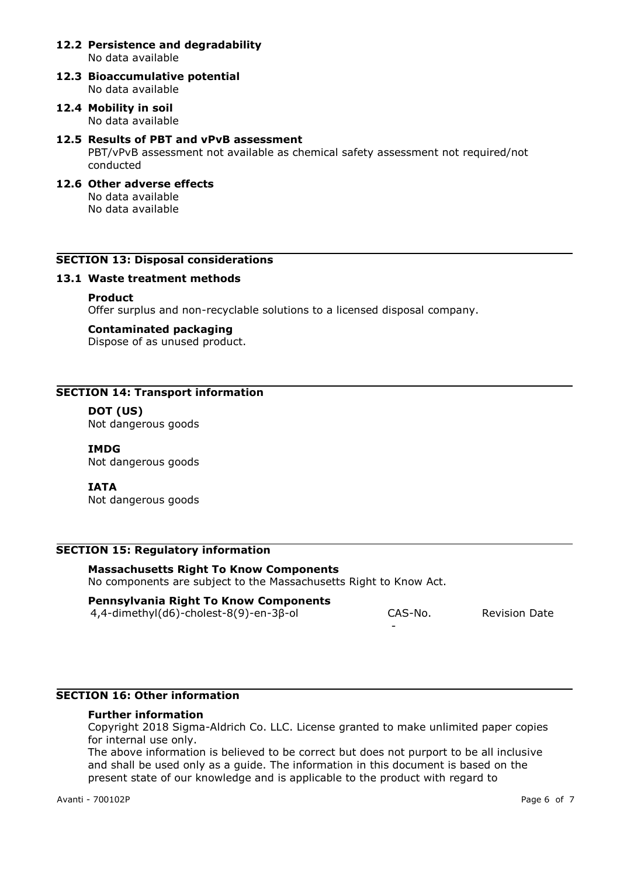#### **12.2 Persistence and degradability** No data available

**12.3 Bioaccumulative potential** No data available

## **12.4 Mobility in soil** No data available

### **12.5 Results of PBT and vPvB assessment**

PBT/vPvB assessment not available as chemical safety assessment not required/not conducted

## **12.6 Other adverse effects** No data available

No data available

## **SECTION 13: Disposal considerations**

## **13.1 Waste treatment methods**

## **Product**

Offer surplus and non-recyclable solutions to a licensed disposal company.

## **Contaminated packaging**

Dispose of as unused product.

## **SECTION 14: Transport information**

## **DOT (US)**

Not dangerous goods

## **IMDG**

Not dangerous goods

## **IATA**

Not dangerous goods

## **SECTION 15: Regulatory information**

# **Massachusetts Right To Know Components**

No components are subject to the Massachusetts Right to Know Act.

## **Pennsylvania Right To Know Components**

4,4-dimethyl(d6)-cholest-8(9)-en-3β-ol CAS-No.

-

Revision Date

## **SECTION 16: Other information**

#### **Further information**

Copyright 2018 Sigma-Aldrich Co. LLC. License granted to make unlimited paper copies for internal use only.

The above information is believed to be correct but does not purport to be all inclusive and shall be used only as a guide. The information in this document is based on the present state of our knowledge and is applicable to the product with regard to